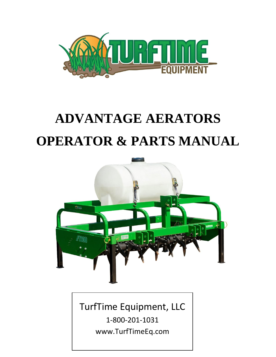

## **ADVANTAGE AERATORS OPERATOR & PARTS MANUAL**



TurfTime Equipment, LLC

1-800-201-1031 www.TurfTimeEq.com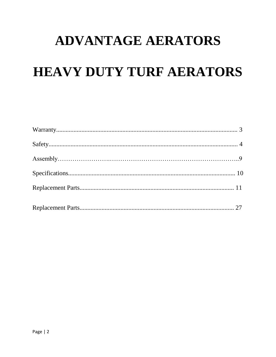# **ADVANTAGE AERATORS HEAVY DUTY TURF AERATORS**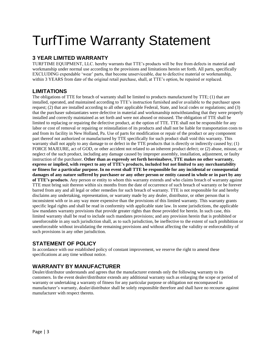### TurfTime Warranty Statement

#### **3 YEAR LIMITED WARRANTY**

TURFTIME EQUIPMENT, LLC. hereby warrants that TTE's products will be free from defects in material and workmanship under normal use according to the provisions and limitations herein set forth. All parts, specifically EXCLUDING expendable 'wear' parts, that become unserviceable, due to defective material or workmanship, within 3 YEARS from date of the original retail purchase, shall, at TTE's option, be repaired or replaced.

#### **LIMITATIONS**

The obligations of TTE for breach of warranty shall be limited to products manufactured by TTE; (1) that are installed, operated, and maintained according to TTE's instruction furnished and/or available to the purchaser upon request; (2) that are installed according to all other applicable Federal, State, and local codes or regulations; and (3) that the purchaser substantiates were defective in material and workmanship notwithstanding that they were properly installed and correctly maintained as set forth and were not abused or misused. The obligation of TTE shall be limited to replacing or repairing the defective product, at the option of TTE. TTE shall not be responsible for any labor or cost of removal or repairing or reinstallation of its products and shall not be liable for transportation costs to and from its facility in New Holland, Pa. Use of parts for modification or repair of the product or any component part thereof not authorized or manufactured by TTE specifically for such product shall void this warranty. This warranty shall not apply to any damage to or defect in the TTE products that is directly or indirectly caused by; (1) FORCE MAJEURE, act of GOD, or other accident not related to an inherent product defect; or (2) abuse, misuse, or neglect of the such product, including any damage caused by improper assembly, installation, adjustment, or faulty instruction of the purchaser. **Other than as expressly set forth hereinabove, TTE makes no other warranty, express or implied, with respect to any of TTE's products, included but not limited to any merchantability or fitness for a particular purpose. In no event shall TTE be responsible for any incidental or consequential damages of any nature suffered by purchaser or any other person or entity caused in whole or in part by any of TTE's products**. Any person or entity to whom this warranty extends and who claims breach of warranty against TTE must bring suit thereon within six months from the date of occurrence of such breach of warranty or be forever barred from any and all legal or other remedies for such breach of warranty. TTE is not responsible for and hereby disclaims any undertaking, representation, or warranty made by any dealer, distributor, or other person that is inconsistent with or in any way more expensive than the provisions of this limited warranty. This warranty grants specific legal rights and shall be read in conformity with applicable state law. In some jurisdictions, the applicable law mandates warranty provisions that provide greater rights than those provided for herein. In such case, this limited warranty shall be read to include such mandates provisions; and any provision herein that is prohibited or unenforceable in any such jurisdiction shall, as to such jurisdiction, be ineffective to the extent of such prohibition or unenforceable without invalidating the remaining provisions and without affecting the validity or enforceability of such provisions in any other jurisdiction.

#### **STATEMENT OF POLICY**

In accordance with our established policy of constant improvement, we reserve the right to amend these specifications at any time without notice.

#### **WARRANTY BY MANUFACTURER**

Dealer/distributor understands and agrees that the manufacturer extends only the following warranty to its customers. In the event dealer/distributor extends any additional warranty such as enlarging the scope or period of warranty or undertaking a warranty of fitness for any particular purpose or obligation not encompassed in manufacturer's warranty, dealer/distributor shall be solely responsible therefore and shall have no recourse against manufacturer with respect thereto.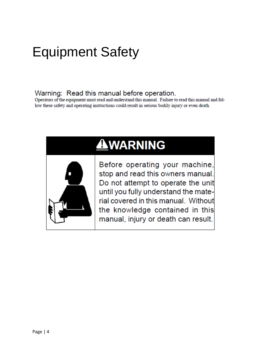#### Warning: Read this manual before operation.

Operators of the equipment must read and understand this manual. Failure to read this manual and follow these safety and operating instructions could result in serious bodily injury or even death.

### **AWARNING**



Before operating your machine, stop and read this owners manual. Do not attempt to operate the unit until you fully understand the material covered in this manual. Without the knowledge contained in this manual, injury or death can result.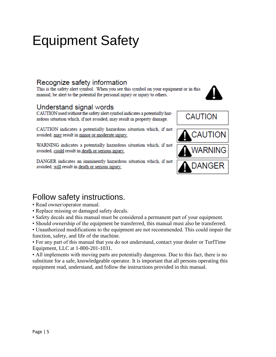#### Recognize safety information

This is the safety alert symbol. When you see this symbol on your equipment or in this manual, be alert to the potential for personal injury or injury to others.

#### Understand signal words

CAUTION used without the safety alert symbol indicates a potentially hazardous situation which, if not avoided, may result in property damage.

CAUTION indicates a potentially hazardous situation which, if not avoided, may result in minor or moderate injury.

WARNING indicates a potentially hazardous situation which, if not avoided, could result in death or serious injury.

DANGER indicates an imminently hazardous situation which, if not avoided, will result in death or serious injury.



#### Follow safety instructions.

- Read owner/operator manual.
- Replace missing or damaged safety decals.
- Safety decals and this manual must be considered a permanent part of your equipment.
- Should ownership of the equipment be transferred, this manual must also be transferred.

• Unauthorized modifications to the equipment are not recommended. This could impair the function, safety, and life of the machine.

• For any part of this manual that you do not understand, contact your dealer or TurfTime Equipment, LLC at 1-800-201-1031.

• All implements with moving parts are potentially dangerous. Due to this fact, there is no substitute for a safe, knowledgeable operator. It is important that all persons operating this equipment read, understand, and follow the instructions provided in this manual.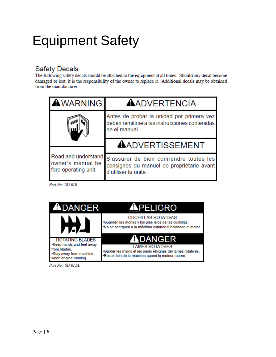#### **Safety Decals**

The following safety decals should be attached to the equipment at all times. Should any decal become damaged or lost, it is the responsibility of the owner to replace it. Additional decals may be obtained from the manufacturer.

| <b>AWARNING</b>                            | <b>AADVERTENCIA</b>                                                                                                             |
|--------------------------------------------|---------------------------------------------------------------------------------------------------------------------------------|
|                                            | Antes de probar la unidad por primera vez<br>deben remitirse a las instrucciones contenidas<br>en el manual.                    |
| owner's manual be-<br>fore operating unit. | <b>AADVERTISSEMENT</b>                                                                                                          |
|                                            | Read and understand S'assurer de bien comrendre toutes les<br>consignes du manuel de propriétarie avant<br>d'utiliser la unité. |

Part No.: SD-010.



Part No.: SD-012A.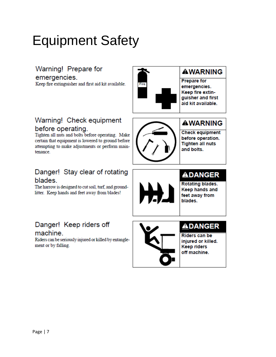Warning! Prepare for

emergencies.

Keep fire extinguisher and first aid kit available.



#### **AWARNING**

**Prepare for** emergencies. Keep fire extinguisher and first aid kit available.

#### Warning! Check equipment before operating.

Tighten all nuts and bolts before operating. Make certain that equipment is lowered to ground before attempting to make adjustments or perform maintenance.

#### Danger! Stay clear of rotating blades.

The harrow is designed to cut soil, turf, and groundlitter. Keep hands and feet away from blades!

### Danger! Keep riders off

#### machine.

Riders can be seriously injured or killed by entanglement or by falling.



#### **AWARNING**

**Check equipment** before operation. **Tighten all nuts** and bolts.

#### **ADANGER**

Rotating blades. Keep hands and feet away from blades.



#### **ADANGER**

Riders can be injured or killed. **Keep riders** off machine.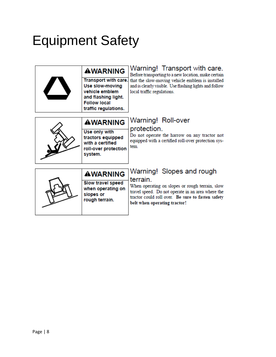| <b>AWARNING</b><br>Transport with care.<br>Use slow-moving<br>vehicle emblem<br>and flashing light.<br><b>Follow local</b><br>traffic regulations. | Warning! Transport with care.<br>Before transporting to a new location, make certain<br>that the slow-moving vehicle emblem is installed<br>and is clearly visible. Use flashing lights and follow<br>local traffic regulations.   |
|----------------------------------------------------------------------------------------------------------------------------------------------------|------------------------------------------------------------------------------------------------------------------------------------------------------------------------------------------------------------------------------------|
| <b>AWARNING</b><br>Use only with<br>tractors equipped<br>with a certified<br>roll-over protection<br>system.                                       | Warning! Roll-over<br>protection.<br>Do not operate the harrow on any tractor not<br>equipped with a certified roll-over protection sys-<br>tem                                                                                    |
| <b>AWARNING</b><br>Slow travel speed<br>when operating on<br>slopes or<br>rough terrain.                                                           | Warning! Slopes and rough<br>terrain.<br>When operating on slopes or rough terrain, slow<br>travel speed. Do not operate in an area where the<br>tractor could roll over. Be sure to fasten safety<br>belt when operating tractor! |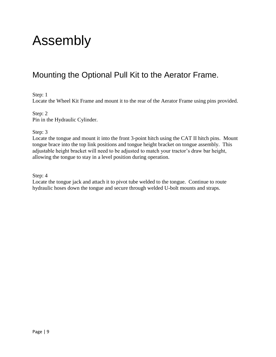### Assembly

#### Mounting the Optional Pull Kit to the Aerator Frame.

Step: 1

Locate the Wheel Kit Frame and mount it to the rear of the Aerator Frame using pins provided.

Step: 2 Pin in the Hydraulic Cylinder.

Step: 3

Locate the tongue and mount it into the front 3-point hitch using the CAT II hitch pins. Mount tongue brace into the top link positions and tongue height bracket on tongue assembly. This adjustable height bracket will need to be adjusted to match your tractor's draw bar height, allowing the tongue to stay in a level position during operation.

Step: 4

Locate the tongue jack and attach it to pivot tube welded to the tongue. Continue to route hydraulic hoses down the tongue and secure through welded U-bolt mounts and straps.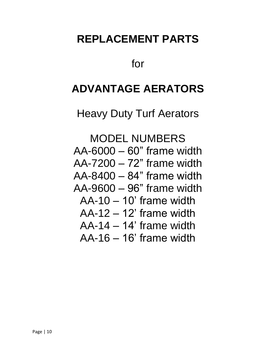### **REPLACEMENT PARTS**

for

#### **ADVANTAGE AERATORS**

Heavy Duty Turf Aerators

MODEL NUMBERS AA-6000 – 60" frame width AA-7200 – 72" frame width AA-8400 – 84" frame width AA-9600 – 96" frame width AA-10 – 10' frame width  $AA-12-12'$  frame width AA-14 – 14' frame width AA-16 – 16' frame width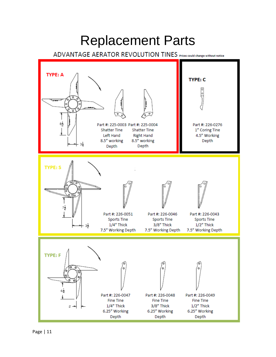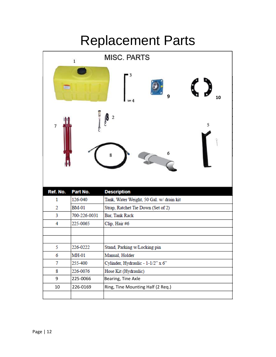### Replacement Parts

| <b>MISC, PARTS</b><br>$\,$ 1 $\,$ |              |                                          |  |  |
|-----------------------------------|--------------|------------------------------------------|--|--|
| 9<br>10                           |              |                                          |  |  |
| $\overline{7}$                    |              | $\overline{\mathbf{c}}$<br>5<br>8        |  |  |
|                                   |              |                                          |  |  |
| Ref. No.                          | Part No.     | <b>Description</b>                       |  |  |
| 1                                 | 126-040      | Tank, Water Weight, 50 Gal. w/ drain kit |  |  |
| 2                                 | <b>BM-01</b> | Strap, Ratchet Tie Down (Set of 2)       |  |  |
| 3                                 | 700-226-0031 | Bar, Tank Rack                           |  |  |
| 4                                 | 225-0065     | Clip, Hair #6                            |  |  |
|                                   |              |                                          |  |  |
| 5                                 | 226-0222     | Stand, Parking w/Locking pin             |  |  |
| 6                                 | MH-01        | Manual, Holder                           |  |  |
| 7                                 | 255-400      | Cylinder, Hydraulic - 1-1/2" x 6"        |  |  |
| 8                                 | 226-0076     | Hose Kit (Hydraulic)                     |  |  |
| 9                                 | 225-0066     | Bearing, Tine Axle                       |  |  |
| 10                                | 226-0169     | Ring, Tine Mounting Half (2 Req.)        |  |  |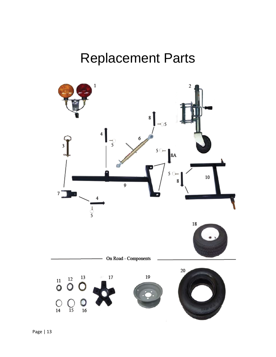### Replacement Parts

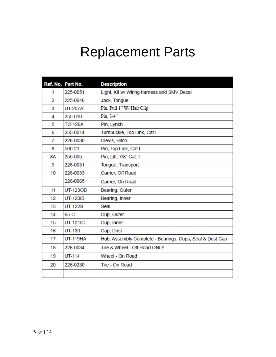### Replacement Parts

|    | Ref. No. Part No. | <b>Description</b>                                       |
|----|-------------------|----------------------------------------------------------|
| 1  | 225-0051          | Light, Kit w/ Wiring harness and SMV Decal               |
| 2  | 225-0046          | Jack, Tongue                                             |
| 3  | <b>UT-207A</b>    | Pin, Pull 1" W/ Hair Clip                                |
| 4  | 255-010           | Pin, 3/4"                                                |
| 5  | <b>TC-126A</b>    | Pin, Lynch                                               |
| 6  | 255-0014          | Turnbuckle, Top Link, Cat I                              |
| 7  | 226-0030          | Clevis, Hitch                                            |
| 8  | 500-21            | Pin, Top Link, Cat I                                     |
| 8A | 255-005           | Pin, Lift, 7/8" Cat. I                                   |
| 9  | 226-0031          | Tongue, Transport                                        |
| 10 | 226-0033          | Carrier, Off Road                                        |
|    | 226-0065          | Carrier, On Road                                         |
| 11 | <b>UT-123OB</b>   | Bearing, Outer                                           |
| 12 | <b>UT-120IB</b>   | Bearing, Inner                                           |
| 13 | <b>UT-122S</b>    | Seal                                                     |
| 14 | 65-C              | Cup, Outer                                               |
| 15 | <b>UT-121IC</b>   | Cup, Inner                                               |
| 16 | UT-130            | Cap, Dust                                                |
| 17 | <b>UT-119HA</b>   | Hub, Assembly Complete - Bearings, Cups, Seal & Dust Cap |
| 18 | 226-0034          | Tire & Wheel - Off Road ONLY                             |
| 19 | UT-114            | Wheel - On Road                                          |
| 20 | 226-0230          | Tire - On Road                                           |
|    |                   |                                                          |